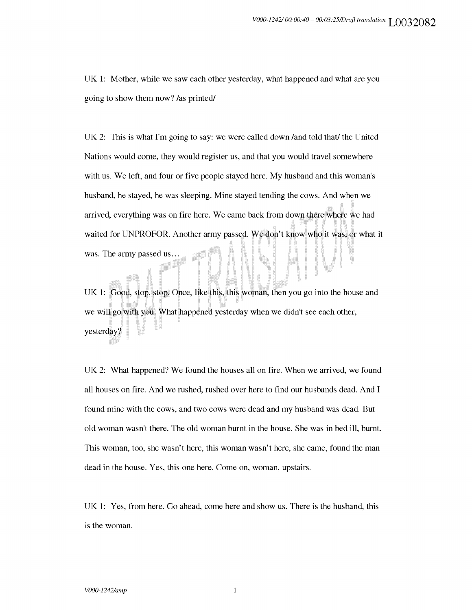UK 1: Mother, while we saw each other yesterday, what happened and what are you going to show them now? /as printed/

UK 2: This is what I'm going to say: we were called down /and told that/ the United Nations would come, they would register us, and that you would travel somewhere with us. We left, and four or five people stayed here. My husband and this woman's husband, he stayed, he was sleeping. Mine stayed tending the cows. And when we arrived, everything was on fire here. We came back from down there where we had waited for UNPROFOR. Another army passed. We don't know who it was, or what it was. The army passed us...

UK 1: Good, stop, stop. Once, like this, this woman, then you go into the house and we will go with you. What happened yesterday when we didn't see each other, yesterday?

UK 2: What happened? We found the houses all on fire. When we arrived, we found all houses on fire. And we rushed, rushed over here to find our husbands dead. And I found mine with the cows, and two cows were dead and my husband was dead. But old woman wasn't there. The old woman burnt in the house. She was in bed ill, burnt. This woman, too, she wasn't here, this woman wasn't here, she came, found the man dead in the house. Yes, this one here. Come on, woman, upstairs.

UK 1: Yes, from here. Go ahead, come here and show us. There is the husband, this is the woman.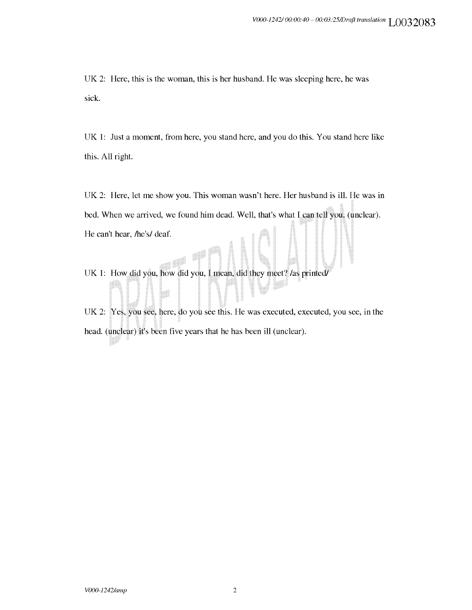UK 2: Here, this is the woman, this is her husband. He was sleeping here, he was sick.

UK 1: Just a moment, from here, you stand here, and you do this. You stand here like this. All right.

UK 2: Here, let me show you. This woman wasn't here. Her husband is ill. He was in bed. When we arrived, we found him dead. Well, that's what I can tell you. (unclear). He can't hear, /he's/ deaf.

UK 1: How did you, how did you, I mean, did they meet? /as printed/

UK 2: Yes, you see, here, do you see this. He was executed, executed, you see, in the head. (unclear) it's been five years that he has been ill (unclear).